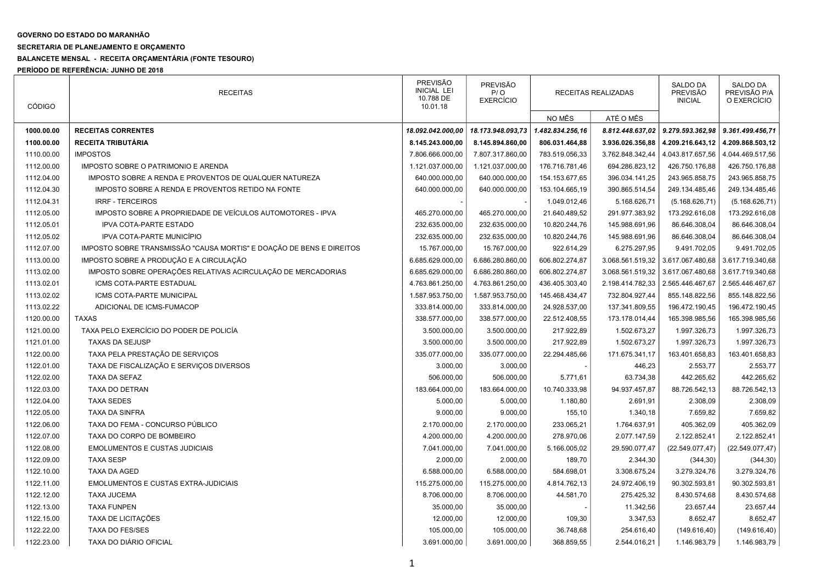## GOVERNO DO ESTADO DO MARANHÃO

## SECRETARIA DE PLANEJAMENTO E ORÇAMENTO

## BALANCETE MENSAL - RECEITA ORÇAMENTÁRIA (FONTE TESOURO)

PERÍODO DE REFERÊNCIA: JUNHO DE 2018

| <b>CÓDIGO</b> | <b>RECEITAS</b>                                                      | <b>PREVISÃO</b><br><b>INICIAL LEI</b><br>10.788 DE<br>10.01.18 | PREVISÃO<br>P/O<br><b>EXERCÍCIO</b> | RECEITAS REALIZADAS |                  | <b>SALDO DA</b><br><b>PREVISÃO</b><br><b>INICIAL</b> | <b>SALDO DA</b><br>PREVISÃO P/A<br>O EXERCÍCIO |
|---------------|----------------------------------------------------------------------|----------------------------------------------------------------|-------------------------------------|---------------------|------------------|------------------------------------------------------|------------------------------------------------|
|               |                                                                      |                                                                |                                     | NO MÊS              | ATÉ O MÊS        |                                                      |                                                |
| 1000.00.00    | <b>RECEITAS CORRENTES</b>                                            | 18.092.042.000,00                                              | 18.173.948.093.73                   | 1.482.834.256,16    | 8.812.448.637,02 | 9.279.593.362,98                                     | 9.361.499.456,71                               |
| 1100.00.00    | <b>RECEITA TRIBUTÁRIA</b>                                            | 8.145.243.000,00                                               | 8.145.894.860,00                    | 806.031.464,88      | 3.936.026.356,88 | 4.209.216.643,12                                     | 4.209.868.503,12                               |
| 1110.00.00    | <b>IMPOSTOS</b>                                                      | 7.806.666.000,00                                               | 7.807.317.860,00                    | 783.519.056,33      | 3.762.848.342,44 | 4.043.817.657,56                                     | 4.044.469.517,56                               |
| 1112.00.00    | IMPOSTO SOBRE O PATRIMONIO E ARENDA                                  | 1.121.037.000,00                                               | 1.121.037.000,00                    | 176.716.781,46      | 694.286.823,12   | 426.750.176,88                                       | 426.750.176,88                                 |
| 1112.04.00    | IMPOSTO SOBRE A RENDA E PROVENTOS DE QUALQUER NATUREZA               | 640.000.000,00                                                 | 640.000.000,00                      | 154.153.677,65      | 396.034.141,25   | 243.965.858,75                                       | 243.965.858,75                                 |
| 1112.04.30    | IMPOSTO SOBRE A RENDA E PROVENTOS RETIDO NA FONTE                    | 640.000.000,00                                                 | 640.000.000,00                      | 153.104.665,19      | 390.865.514,54   | 249.134.485,46                                       | 249.134.485,46                                 |
| 1112.04.31    | <b>IRRF - TERCEIROS</b>                                              |                                                                |                                     | 1.049.012,46        | 5.168.626,71     | (5.168.626, 71)                                      | (5.168.626, 71)                                |
| 1112.05.00    | IMPOSTO SOBRE A PROPRIEDADE DE VEÍCULOS AUTOMOTORES - IPVA           | 465.270.000,00                                                 | 465.270.000,00                      | 21.640.489,52       | 291.977.383,92   | 173.292.616,08                                       | 173.292.616,08                                 |
| 1112.05.01    | <b>IPVA COTA-PARTE ESTADO</b>                                        | 232.635.000,00                                                 | 232.635.000,00                      | 10.820.244,76       | 145.988.691,96   | 86.646.308,04                                        | 86.646.308,04                                  |
| 1112.05.02    | <b>IPVA COTA-PARTE MUNICÍPIO</b>                                     | 232.635.000,00                                                 | 232.635.000,00                      | 10.820.244,76       | 145.988.691,96   | 86.646.308,04                                        | 86.646.308,04                                  |
| 1112.07.00    | IMPOSTO SOBRE TRANSMISSÃO "CAUSA MORTIS" E DOAÇÃO DE BENS E DIREITOS | 15.767.000,00                                                  | 15.767.000,00                       | 922.614,29          | 6.275.297,95     | 9.491.702,05                                         | 9.491.702,05                                   |
| 1113.00.00    | IMPOSTO SOBRE A PRODUÇÃO E A CIRCULAÇÃO                              | 6.685.629.000,00                                               | 6.686.280.860,00                    | 606.802.274,87      | 3.068.561.519,32 | 3.617.067.480,68                                     | 3.617.719.340,68                               |
| 1113.02.00    | IMPOSTO SOBRE OPERAÇÕES RELATIVAS ACIRCULAÇÃO DE MERCADORIAS         | 6.685.629.000,00                                               | 6.686.280.860,00                    | 606.802.274,87      | 3.068.561.519,32 | 3.617.067.480,68                                     | 3.617.719.340,68                               |
| 1113.02.01    | ICMS COTA-PARTE ESTADUAL                                             | 4.763.861.250.00                                               | 4.763.861.250,00                    | 436.405.303,40      | 2.198.414.782,33 | 2.565.446.467,67                                     | 2.565.446.467,67                               |
| 1113.02.02    | ICMS COTA-PARTE MUNICIPAL                                            | 1.587.953.750,00                                               | 1.587.953.750,00                    | 145.468.434,47      | 732.804.927,44   | 855.148.822,56                                       | 855.148.822,56                                 |
| 1113.02.22    | ADICIONAL DE ICMS-FUMACOP                                            | 333.814.000,00                                                 | 333.814.000,00                      | 24.928.537,00       | 137.341.809,55   | 196.472.190,45                                       | 196.472.190,45                                 |
| 1120.00.00    | <b>TAXAS</b>                                                         | 338.577.000,00                                                 | 338.577.000,00                      | 22.512.408,55       | 173.178.014,44   | 165.398.985,56                                       | 165.398.985,56                                 |
| 1121.00.00    | TAXA PELO EXERCÍCIO DO PODER DE POLICÍA                              | 3.500.000,00                                                   | 3.500.000,00                        | 217.922,89          | 1.502.673,27     | 1.997.326,73                                         | 1.997.326,73                                   |
| 1121.01.00    | <b>TAXAS DA SEJUSP</b>                                               | 3.500.000,00                                                   | 3.500.000,00                        | 217.922,89          | 1.502.673,27     | 1.997.326,73                                         | 1.997.326,73                                   |
| 1122.00.00    | TAXA PELA PRESTAÇÃO DE SERVIÇOS                                      | 335.077.000,00                                                 | 335.077.000,00                      | 22.294.485,66       | 171.675.341,17   | 163.401.658,83                                       | 163.401.658,83                                 |
| 1122.01.00    | TAXA DE FISCALIZAÇÃO E SERVIÇOS DIVERSOS                             | 3.000,00                                                       | 3.000,00                            |                     | 446,23           | 2.553,77                                             | 2.553,77                                       |
| 1122.02.00    | TAXA DA SEFAZ                                                        | 506.000,00                                                     | 506.000,00                          | 5.771,61            | 63.734,38        | 442.265,62                                           | 442.265,62                                     |
| 1122.03.00    | <b>TAXA DO DETRAN</b>                                                | 183.664.000,00                                                 | 183.664.000,00                      | 10.740.333,98       | 94.937.457,87    | 88.726.542,13                                        | 88.726.542,13                                  |
| 1122.04.00    | <b>TAXA SEDES</b>                                                    | 5.000,00                                                       | 5.000,00                            | 1.180,80            | 2.691,91         | 2.308,09                                             | 2.308,09                                       |
| 1122.05.00    | <b>TAXA DA SINFRA</b>                                                | 9.000,00                                                       | 9.000,00                            | 155,10              | 1.340,18         | 7.659,82                                             | 7.659,82                                       |
| 1122.06.00    | TAXA DO FEMA - CONCURSO PÚBLICO                                      | 2.170.000,00                                                   | 2.170.000,00                        | 233.065,21          | 1.764.637,91     | 405.362,09                                           | 405.362,09                                     |
| 1122.07.00    | TAXA DO CORPO DE BOMBEIRO                                            | 4.200.000,00                                                   | 4.200.000,00                        | 278.970,06          | 2.077.147,59     | 2.122.852,41                                         | 2.122.852,41                                   |
| 1122.08.00    | <b>EMOLUMENTOS E CUSTAS JUDICIAIS</b>                                | 7.041.000,00                                                   | 7.041.000,00                        | 5.166.005,02        | 29.590.077,47    | (22.549.077, 47)                                     | (22.549.077, 47)                               |
| 1122.09.00    | <b>TAXA SESP</b>                                                     | 2.000,00                                                       | 2.000,00                            | 189,70              | 2.344,30         | (344, 30)                                            | (344, 30)                                      |
| 1122.10.00    | <b>TAXA DA AGED</b>                                                  | 6.588.000,00                                                   | 6.588.000,00                        | 584.698,01          | 3.308.675,24     | 3.279.324,76                                         | 3.279.324,76                                   |
| 1122.11.00    | <b>EMOLUMENTOS E CUSTAS EXTRA-JUDICIAIS</b>                          | 115.275.000,00                                                 | 115.275.000,00                      | 4.814.762,13        | 24.972.406,19    | 90.302.593,81                                        | 90.302.593,81                                  |
| 1122.12.00    | <b>TAXA JUCEMA</b>                                                   | 8.706.000,00                                                   | 8.706.000,00                        | 44.581,70           | 275.425,32       | 8.430.574,68                                         | 8.430.574,68                                   |
| 1122.13.00    | <b>TAXA FUNPEN</b>                                                   | 35.000,00                                                      | 35.000,00                           |                     | 11.342,56        | 23.657,44                                            | 23.657,44                                      |
| 1122.15.00    | <b>TAXA DE LICITAÇÕES</b>                                            | 12.000,00                                                      | 12.000,00                           | 109,30              | 3.347,53         | 8.652,47                                             | 8.652,47                                       |
| 1122.22.00    | <b>TAXA DO FES/SES</b>                                               | 105.000,00                                                     | 105.000,00                          | 36.748,68           | 254.616,40       | (149.616, 40)                                        | (149.616, 40)                                  |
| 1122.23.00    | TAXA DO DIÁRIO OFICIAL                                               | 3.691.000,00                                                   | 3.691.000,00                        | 368.859,55          | 2.544.016,21     | 1.146.983,79                                         | 1.146.983,79                                   |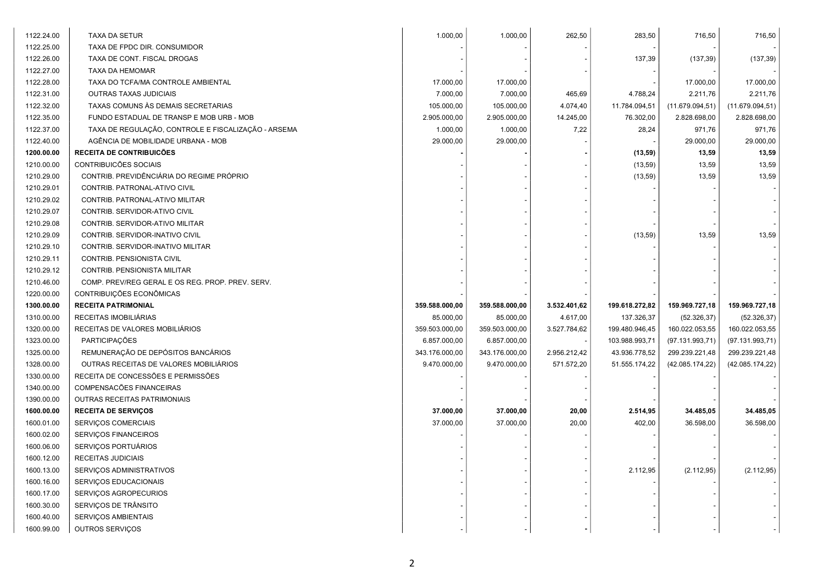| 1122.24.00 | <b>TAXA DA SETUR</b>                                | 1.000,00       | 1.000,00       | 262,50       | 283,50         | 716,50           | 716,50           |
|------------|-----------------------------------------------------|----------------|----------------|--------------|----------------|------------------|------------------|
| 1122.25.00 | TAXA DE FPDC DIR. CONSUMIDOR                        |                |                |              |                |                  |                  |
| 1122.26.00 | TAXA DE CONT. FISCAL DROGAS                         |                |                |              | 137,39         | (137, 39)        | (137, 39)        |
| 1122.27.00 | TAXA DA HEMOMAR                                     |                |                |              |                |                  |                  |
| 1122.28.00 | TAXA DO TCFA/MA CONTROLE AMBIENTAL                  | 17.000,00      | 17.000,00      |              |                | 17.000,00        | 17.000,00        |
| 1122.31.00 | OUTRAS TAXAS JUDICIAIS                              | 7.000,00       | 7.000,00       | 465,69       | 4.788,24       | 2.211,76         | 2.211,76         |
| 1122.32.00 | TAXAS COMUNS ÀS DEMAIS SECRETARIAS                  | 105.000,00     | 105.000,00     | 4.074,40     | 11.784.094,51  | (11.679.094, 51) | (11.679.094, 51) |
| 1122.35.00 | FUNDO ESTADUAL DE TRANSP E MOB URB - MOB            | 2.905.000,00   | 2.905.000,00   | 14.245,00    | 76.302,00      | 2.828.698,00     | 2.828.698,00     |
| 1122.37.00 | TAXA DE REGULAÇÃO, CONTROLE E FISCALIZAÇÃO - ARSEMA | 1.000,00       | 1.000,00       | 7,22         | 28,24          | 971,76           | 971,76           |
| 1122.40.00 | AGÊNCIA DE MOBILIDADE URBANA - MOB                  | 29.000,00      | 29.000,00      |              |                | 29.000,00        | 29.000,00        |
| 1200.00.00 | <b>RECEITA DE CONTRIBUICÕES</b>                     |                |                |              | (13,59)        | 13,59            | 13,59            |
| 1210.00.00 | CONTRIBUICÕES SOCIAIS                               |                |                |              | (13, 59)       | 13,59            | 13,59            |
| 1210.29.00 | CONTRIB. PREVIDÊNCIÁRIA DO REGIME PRÓPRIO           |                |                |              | (13, 59)       | 13,59            | 13,59            |
| 1210.29.01 | CONTRIB. PATRONAL-ATIVO CIVIL                       |                |                |              |                |                  |                  |
| 1210.29.02 | CONTRIB. PATRONAL-ATIVO MILITAR                     |                |                |              |                |                  |                  |
| 1210.29.07 | CONTRIB. SERVIDOR-ATIVO CIVIL                       |                |                |              |                |                  |                  |
| 1210.29.08 | CONTRIB. SERVIDOR-ATIVO MILITAR                     |                |                |              |                |                  |                  |
| 1210.29.09 | CONTRIB. SERVIDOR-INATIVO CIVIL                     |                |                |              | (13, 59)       | 13,59            | 13,59            |
| 1210.29.10 | CONTRIB. SERVIDOR-INATIVO MILITAR                   |                |                |              |                |                  |                  |
| 1210.29.11 | CONTRIB. PENSIONISTA CIVIL                          |                |                |              |                |                  |                  |
| 1210.29.12 | CONTRIB. PENSIONISTA MILITAR                        |                |                |              |                |                  |                  |
| 1210.46.00 | COMP. PREV/REG GERAL E OS REG. PROP. PREV. SERV.    |                |                |              |                |                  |                  |
| 1220.00.00 | CONTRIBUIÇÕES ECONÔMICAS                            |                |                |              |                |                  |                  |
| 1300.00.00 | <b>RECEITA PATRIMONIAL</b>                          | 359.588.000,00 | 359.588.000,00 | 3.532.401,62 | 199.618.272,82 | 159.969.727,18   | 159.969.727,18   |
| 1310.00.00 | RECEITAS IMOBILIÁRIAS                               | 85.000,00      | 85.000,00      | 4.617,00     | 137.326,37     | (52.326, 37)     | (52.326, 37)     |
| 1320.00.00 | RECEITAS DE VALORES MOBILIÁRIOS                     | 359.503.000,00 | 359.503.000,00 | 3.527.784,62 | 199.480.946,45 | 160.022.053,55   | 160.022.053,55   |
| 1323.00.00 | PARTICIPAÇÕES                                       | 6.857.000,00   | 6.857.000,00   |              | 103.988.993,71 | (97.131.993,71)  | (97.131.993,71)  |
| 1325.00.00 | REMUNERAÇÃO DE DEPÓSITOS BANCÁRIOS                  | 343.176.000,00 | 343.176.000,00 | 2.956.212,42 | 43.936.778,52  | 299.239.221,48   | 299.239.221,48   |
| 1328.00.00 | OUTRAS RECEITAS DE VALORES MOBILIÁRIOS              | 9.470.000,00   | 9.470.000,00   | 571.572,20   | 51.555.174,22  | (42.085.174, 22) | (42.085.174, 22) |
| 1330.00.00 | RECEITA DE CONCESSÕES E PERMISSÕES                  |                |                |              |                |                  |                  |
| 1340.00.00 | <b>COMPENSACÕES FINANCEIRAS</b>                     |                |                |              |                |                  |                  |
| 1390.00.00 | OUTRAS RECEITAS PATRIMONIAIS                        |                |                |              |                |                  |                  |
| 1600.00.00 | <b>RECEITA DE SERVIÇOS</b>                          | 37.000,00      | 37.000,00      | 20,00        | 2.514,95       | 34.485,05        | 34.485,05        |
| 1600.01.00 | SERVIÇOS COMERCIAIS                                 | 37.000,00      | 37.000,00      | 20,00        | 402,00         | 36.598,00        | 36.598,00        |
| 1600.02.00 | SERVIÇOS FINANCEIROS                                |                |                |              |                |                  |                  |
| 1600.06.00 | SERVIÇOS PORTUÁRIOS                                 |                |                |              |                |                  |                  |
| 1600.12.00 | RECEITAS JUDICIAIS                                  |                |                |              |                |                  |                  |
| 1600.13.00 | SERVIÇOS ADMINISTRATIVOS                            |                |                |              | 2.112,95       | (2.112, 95)      | (2.112, 95)      |
| 1600.16.00 | SERVIÇOS EDUCACIONAIS                               |                |                |              |                |                  |                  |
| 1600.17.00 | SERVIÇOS AGROPECURIOS                               |                |                |              |                |                  |                  |
| 1600.30.00 | SERVIÇOS DE TRÂNSITO                                |                |                |              |                |                  |                  |
| 1600.40.00 | SERVIÇOS AMBIENTAIS                                 |                |                |              |                |                  |                  |
| 1600.99.00 | OUTROS SERVIÇOS                                     |                |                |              |                |                  |                  |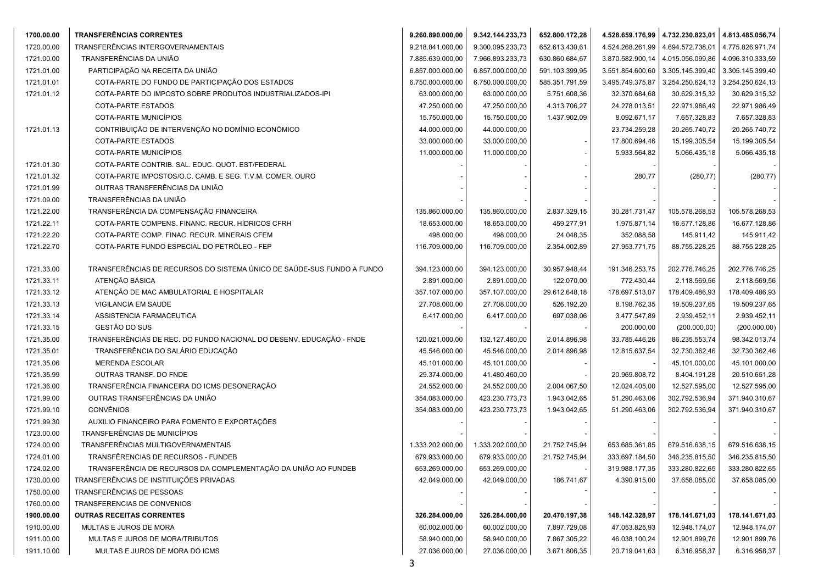| 1700.00.00 | <b>TRANSFERÊNCIAS CORRENTES</b>                                        | 9.260.890.000,00 | 9.342.144.233,73 | 652.800.172,28 |                  | 4.528.659.176,99   4.732.230.823,01   4.813.485.056,74 |                  |
|------------|------------------------------------------------------------------------|------------------|------------------|----------------|------------------|--------------------------------------------------------|------------------|
| 1720.00.00 | TRANSFERÊNCIAS INTERGOVERNAMENTAIS                                     | 9.218.841.000,00 | 9.300.095.233,73 | 652.613.430,61 | 4.524.268.261,99 | 4.694.572.738,01                                       | 4.775.826.971,74 |
| 1721.00.00 | TRANSFERÊNCIAS DA UNIÃO                                                | 7.885.639.000,00 | 7.966.893.233,73 | 630.860.684,67 | 3.870.582.900,14 | 4.015.056.099,86                                       | 4.096.310.333,59 |
| 1721.01.00 | PARTICIPAÇÃO NA RECEITA DA UNIÃO                                       | 6.857.000.000,00 | 6.857.000.000,00 | 591.103.399,95 | 3.551.854.600,60 | 3.305.145.399,40                                       | 3.305.145.399,40 |
| 1721.01.01 | COTA-PARTE DO FUNDO DE PARTICIPAÇÃO DOS ESTADOS                        | 6.750.000.000,00 | 6.750.000.000,00 | 585.351.791,59 | 3.495.749.375,87 | 3.254.250.624,13                                       | 3.254.250.624,13 |
| 1721.01.12 | COTA-PARTE DO IMPOSTO SOBRE PRODUTOS INDUSTRIALIZADOS-IPI              | 63.000.000,00    | 63.000.000,00    | 5.751.608,36   | 32.370.684,68    | 30.629.315,32                                          | 30.629.315,32    |
|            | COTA-PARTE ESTADOS                                                     | 47.250.000,00    | 47.250.000,00    | 4.313.706,27   | 24.278.013,51    | 22.971.986,49                                          | 22.971.986,49    |
|            | COTA-PARTE MUNICÍPIOS                                                  | 15.750.000,00    | 15.750.000,00    | 1.437.902,09   | 8.092.671,17     | 7.657.328,83                                           | 7.657.328,83     |
| 1721.01.13 | CONTRIBUIÇÃO DE INTERVENÇÃO NO DOMÍNIO ECONÔMICO                       | 44.000.000,00    | 44.000.000,00    |                | 23.734.259,28    | 20.265.740,72                                          | 20.265.740,72    |
|            | COTA-PARTE ESTADOS                                                     | 33.000.000,00    | 33.000.000,00    |                | 17.800.694,46    | 15.199.305,54                                          | 15.199.305,54    |
|            | COTA-PARTE MUNICÍPIOS                                                  | 11.000.000,00    | 11.000.000,00    |                | 5.933.564,82     | 5.066.435,18                                           | 5.066.435,18     |
| 1721.01.30 | COTA-PARTE CONTRIB. SAL. EDUC. QUOT. EST/FEDERAL                       |                  |                  |                |                  |                                                        |                  |
| 1721.01.32 | COTA-PARTE IMPOSTOS/O.C. CAMB. E SEG. T.V.M. COMER. OURO               |                  |                  |                | 280,77           | (280, 77)                                              | (280, 77)        |
| 1721.01.99 | OUTRAS TRANSFERÊNCIAS DA UNIÃO                                         |                  |                  |                |                  |                                                        |                  |
| 1721.09.00 | TRANSFERÊNCIAS DA UNIÃO                                                |                  |                  |                |                  |                                                        |                  |
| 1721.22.00 | TRANSFERÊNCIA DA COMPENSAÇÃO FINANCEIRA                                | 135.860.000,00   | 135.860.000,00   | 2.837.329,15   | 30.281.731,47    | 105.578.268,53                                         | 105.578.268,53   |
| 1721.22.11 | COTA-PARTE COMPENS. FINANC. RECUR. HÍDRICOS CFRH                       | 18.653.000,00    | 18.653.000,00    | 459.277,91     | 1.975.871,14     | 16.677.128,86                                          | 16.677.128,86    |
| 1721.22.20 | COTA-PARTE COMP. FINAC. RECUR. MINERAIS CFEM                           | 498.000,00       | 498.000,00       | 24.048,35      | 352.088,58       | 145.911,42                                             | 145.911,42       |
| 1721.22.70 | COTA-PARTE FUNDO ESPECIAL DO PETRÓLEO - FEP                            | 116.709.000,00   | 116.709.000,00   | 2.354.002,89   | 27.953.771,75    | 88.755.228,25                                          | 88.755.228,25    |
|            |                                                                        |                  |                  |                |                  |                                                        |                  |
| 1721.33.00 | TRANSFERÊNCIAS DE RECURSOS DO SISTEMA ÚNICO DE SAÚDE-SUS FUNDO A FUNDO | 394.123.000,00   | 394.123.000,00   | 30.957.948,44  | 191.346.253,75   | 202.776.746,25                                         | 202.776.746,25   |
| 1721.33.11 | ATENÇÃO BÁSICA                                                         | 2.891.000,00     | 2.891.000,00     | 122.070,00     | 772.430,44       | 2.118.569,56                                           | 2.118.569,56     |
| 1721.33.12 | ATENÇÃO DE MAC AMBULATORIAL E HOSPITALAR                               | 357.107.000,00   | 357.107.000,00   | 29.612.648,18  | 178.697.513,07   | 178.409.486,93                                         | 178.409.486,93   |
| 1721.33.13 | VIGILANCIA EM SAUDE                                                    | 27.708.000,00    | 27.708.000,00    | 526.192,20     | 8.198.762,35     | 19.509.237,65                                          | 19.509.237,65    |
| 1721.33.14 | ASSISTENCIA FARMACEUTICA                                               | 6.417.000,00     | 6.417.000,00     | 697.038,06     | 3.477.547,89     | 2.939.452,11                                           | 2.939.452,11     |
| 1721.33.15 | GESTÃO DO SUS                                                          |                  |                  |                | 200.000,00       | (200.000, 00)                                          | (200.000, 00)    |
| 1721.35.00 | TRANSFERÊNCIAS DE REC. DO FUNDO NACIONAL DO DESENV. EDUCAÇÃO - FNDE    | 120.021.000,00   | 132.127.460,00   | 2.014.896,98   | 33.785.446,26    | 86.235.553,74                                          | 98.342.013,74    |
| 1721.35.01 | TRANSFERÊNCIA DO SALÁRIO EDUCAÇÃO                                      | 45.546.000,00    | 45.546.000,00    | 2.014.896,98   | 12.815.637,54    | 32.730.362,46                                          | 32.730.362,46    |
| 1721.35.06 | MERENDA ESCOLAR                                                        | 45.101.000,00    | 45.101.000,00    |                |                  | 45.101.000,00                                          | 45.101.000,00    |
| 1721.35.99 | OUTRAS TRANSF. DO FNDE                                                 | 29.374.000,00    | 41.480.460,00    |                | 20.969.808,72    | 8.404.191,28                                           | 20.510.651,28    |
| 1721.36.00 | TRANSFERÊNCIA FINANCEIRA DO ICMS DESONERAÇÃO                           | 24.552.000,00    | 24.552.000,00    | 2.004.067,50   | 12.024.405,00    | 12.527.595,00                                          | 12.527.595,00    |
| 1721.99.00 | OUTRAS TRANSFERÊNCIAS DA UNIÃO                                         | 354.083.000,00   | 423.230.773,73   | 1.943.042,65   | 51.290.463,06    | 302.792.536,94                                         | 371.940.310,67   |
| 1721.99.10 | <b>CONVÊNIOS</b>                                                       | 354.083.000,00   | 423.230.773,73   | 1.943.042,65   | 51.290.463,06    | 302.792.536,94                                         | 371.940.310,67   |
| 1721.99.30 | AUXILIO FINANCEIRO PARA FOMENTO E EXPORTAÇÕES                          |                  |                  |                |                  |                                                        |                  |
| 1723.00.00 | TRANSFERÊNCIAS DE MUNICÍPIOS                                           |                  |                  |                |                  |                                                        |                  |
| 1724.00.00 | TRANSFERÊNCIAS MULTIGOVERNAMENTAIS                                     | 1.333.202.000,00 | 1.333.202.000,00 | 21.752.745,94  | 653.685.361,85   | 679.516.638,15                                         | 679.516.638,15   |
| 1724.01.00 | TRANSFÊRENCIAS DE RECURSOS - FUNDEB                                    | 679.933.000,00   | 679.933.000,00   | 21.752.745,94  | 333.697.184,50   | 346.235.815,50                                         | 346.235.815,50   |
| 1724.02.00 | TRANSFERÊNCIA DE RECURSOS DA COMPLEMENTAÇÃO DA UNIÃO AO FUNDEB         | 653.269.000,00   | 653.269.000,00   |                | 319.988.177,35   | 333.280.822,65                                         | 333.280.822,65   |
| 1730.00.00 | TRANSFERÊNCIAS DE INSTITUIÇÕES PRIVADAS                                | 42.049.000,00    | 42.049.000,00    | 186.741,67     | 4.390.915,00     | 37.658.085,00                                          | 37.658.085,00    |
| 1750.00.00 | TRANSFERÊNCIAS DE PESSOAS                                              |                  |                  |                |                  |                                                        |                  |
| 1760.00.00 | TRANSFERENCIAS DE CONVENIOS                                            |                  |                  |                |                  |                                                        |                  |
| 1900.00.00 | <b>OUTRAS RECEITAS CORRENTES</b>                                       | 326.284.000,00   | 326.284.000,00   | 20.470.197,38  | 148.142.328,97   | 178.141.671,03                                         | 178.141.671,03   |
| 1910.00.00 | MULTAS E JUROS DE MORA                                                 | 60.002.000,00    | 60.002.000,00    | 7.897.729,08   | 47.053.825,93    | 12.948.174,07                                          | 12.948.174,07    |
| 1911.00.00 | MULTAS E JUROS DE MORA/TRIBUTOS                                        | 58.940.000,00    | 58.940.000,00    | 7.867.305,22   | 46.038.100,24    | 12.901.899,76                                          | 12.901.899,76    |
| 1911.10.00 | MULTAS E JUROS DE MORA DO ICMS                                         | 27.036.000,00    | 27.036.000,00    | 3.671.806,35   | 20.719.041,63    | 6.316.958,37                                           | 6.316.958,37     |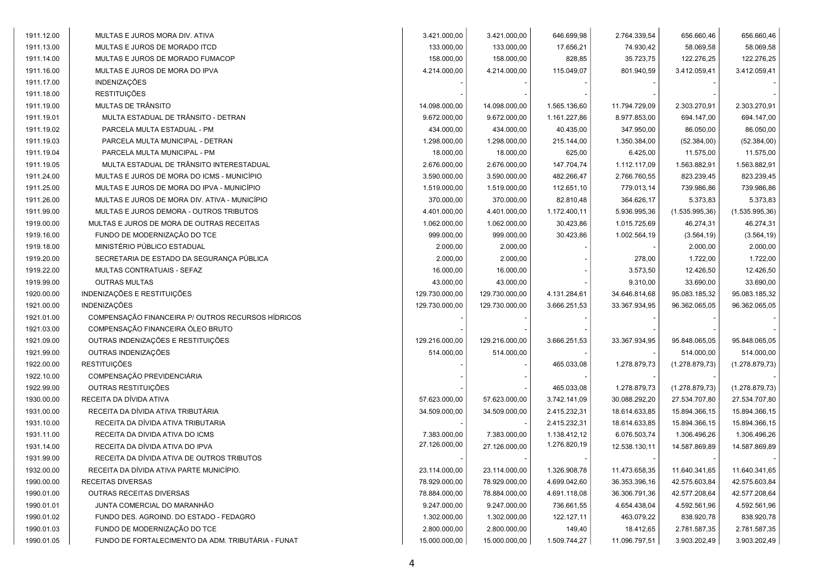| 3.421.000,00<br>3.421.000,00<br>2.764.339,54<br>656.660,46<br>656.660,46<br>646.699,98<br>MULTAS E JUROS MORA DIV. ATIVA<br>74.930,42<br>58.069,58<br>58.069,58<br>MULTAS E JUROS DE MORADO ITCD<br>133.000,00<br>133.000,00<br>17.656,21<br>35.723,75<br>122.276,25<br>122.276,25<br>MULTAS E JUROS DE MORADO FUMACOP<br>158.000,00<br>158.000,00<br>828,85<br>MULTAS E JUROS DE MORA DO IPVA<br>4.214.000,00<br>4.214.000,00<br>115.049,07<br>801.940,59<br>3.412.059,41<br>3.412.059,41<br>INDENIZAÇÕES<br><b>RESTITUIÇÕES</b><br>MULTAS DE TRÂNSITO<br>14.098.000,00<br>11.794.729,09<br>2.303.270,91<br>2.303.270,91<br>14.098.000,00<br>1.565.136,60<br>MULTA ESTADUAL DE TRÂNSITO - DETRAN<br>9.672.000,00<br>9.672.000,00<br>1.161.227,86<br>8.977.853,00<br>694.147,00<br>694.147,00<br>PARCELA MULTA ESTADUAL - PM<br>434.000,00<br>434.000,00<br>40.435,00<br>347.950,00<br>86.050,00<br>86.050,00<br>PARCELA MULTA MUNICIPAL - DETRAN<br>1.298.000,00<br>1.350.384,00<br>(52.384,00)<br>1.298.000,00<br>215.144,00<br>(52.384,00)<br>PARCELA MULTA MUNICIPAL - PM<br>18.000,00<br>18.000,00<br>625,00<br>6.425,00<br>11.575,00<br>11.575,00<br>MULTA ESTADUAL DE TRÂNSITO INTERESTADUAL<br>2.676.000,00<br>2.676.000,00<br>1.112.117,09<br>1.563.882,91<br>1.563.882,91<br>147.704,74<br>MULTAS E JUROS DE MORA DO ICMS - MUNICÍPIO<br>3.590.000,00<br>3.590.000,00<br>482.266,47<br>2.766.760,55<br>823.239,45<br>823.239,45<br>MULTAS E JUROS DE MORA DO IPVA - MUNICÍPIO<br>1.519.000,00<br>1.519.000,00<br>112.651,10<br>779.013,14<br>739.986,86<br>739.986,86<br>5.373,83<br>MULTAS E JUROS DE MORA DIV. ATIVA - MUNICÍPIO<br>370.000,00<br>370.000,00<br>82.810,48<br>364.626,17<br>5.373,83<br>(1.535.995, 36)<br>MULTAS E JUROS DEMORA - OUTROS TRIBUTOS<br>4.401.000,00<br>4.401.000,00<br>1.172.400,11<br>5.936.995,36<br>(1.535.995, 36)<br>30.423,86<br>46.274,31<br>46.274,31<br>MULTAS E JUROS DE MORA DE OUTRAS RECEITAS<br>1.062.000,00<br>1.062.000,00<br>1.015.725,69<br>FUNDO DE MODERNIZAÇÃO DO TCE<br>999.000,00<br>999.000,00<br>30.423,86<br>1.002.564,19<br>(3.564, 19)<br>(3.564, 19)<br>MINISTÉRIO PÚBLICO ESTADUAL<br>2.000,00<br>2.000,00<br>2.000,00<br>2.000,00<br>SECRETARIA DE ESTADO DA SEGURANÇA PÚBLICA<br>2.000,00<br>2.000,00<br>278,00<br>1.722,00<br>1.722,00<br>MULTAS CONTRATUAIS - SEFAZ<br>16.000,00<br>3.573,50<br>12.426,50<br>12.426,50<br>16.000,00<br>33.690,00<br><b>OUTRAS MULTAS</b><br>43.000,00<br>9.310,00<br>33.690,00<br>43.000,00<br>INDENIZAÇÕES E RESTITUIÇÕES<br>129.730.000,00<br>129.730.000,00<br>4.131.284,61<br>34.646.814,68<br>95.083.185,32<br>95.083.185,32<br><b>INDENIZAÇÕES</b><br>129.730.000,00<br>96.362.065,05<br>96.362.065,05<br>129.730.000,00<br>3.666.251,53<br>33.367.934,95<br>COMPENSAÇÃO FINANCEIRA P/ OUTROS RECURSOS HÍDRICOS<br>COMPENSAÇÃO FINANCEIRA ÓLEO BRUTO<br>OUTRAS INDENIZAÇÕES E RESTITUIÇÕES<br>129.216.000,00<br>129.216.000,00<br>95.848.065,05<br>95.848.065,05<br>3.666.251,53<br>33.367.934,95<br>OUTRAS INDENIZAÇÕES<br>514.000,00<br>514.000,00<br>514.000,00<br>514.000,00<br><b>RESTITUIÇÕES</b><br>465.033,08<br>1.278.879,73<br>(1.278.879,73)<br>(1.278.879,73)<br>COMPENSAÇÃO PREVIDENCIÁRIA<br>OUTRAS RESTITUIÇÕES<br>(1.278.879, 73)<br>465.033,08<br>1.278.879,73<br>(1.278.879,73)<br>RECEITA DA DÍVIDA ATIVA<br>57.623.000,00<br>27.534.707,80<br>27.534.707,80<br>57.623.000,00<br>3.742.141,09<br>30.088.292,20<br>RECEITA DA DÍVIDA ATIVA TRIBUTÁRIA<br>15.894.366,15<br>15.894.366,15<br>34.509.000,00<br>34.509.000,00<br>2.415.232,31<br>18.614.633,85<br>RECEITA DA DÍVIDA ATIVA TRIBUTARIA<br>15.894.366,15<br>15.894.366,15<br>2.415.232,31<br>18.614.633,85<br>RECEITA DA DIVIDA ATIVA DO ICMS<br>7.383.000,00<br>1.138.412,12<br>1.306.496,26<br>7.383.000,00<br>6.076.503,74<br>1.306.496,26<br>27.126.000.00<br>1.276.820,19<br>RECEITA DA DÍVIDA ATIVA DO IPVA<br>27.126.000,00<br>12.538.130,11<br>14.587.869,89<br>14.587.869,89<br>RECEITA DA DÍVIDA ATIVA DE OUTROS TRIBUTOS<br>RECEITA DA DÍVIDA ATIVA PARTE MUNICÍPIO.<br>23.114.000,00<br>23.114.000,00<br>1.326.908,78<br>11.473.658,35<br>11.640.341,65<br>11.640.341,65<br>42.575.603,84<br>RECEITAS DIVERSAS<br>78.929.000,00<br>78.929.000,00<br>4.699.042,60<br>36.353.396,16<br>42.575.603,84<br>OUTRAS RECEITAS DIVERSAS<br>78.884.000,00<br>78.884.000,00<br>4.691.118,08<br>36.306.791,36<br>42.577.208,64<br>42.577.208,64<br>JUNTA COMERCIAL DO MARANHÃO<br>9.247.000,00<br>9.247.000,00<br>736.661,55<br>4.654.438,04<br>4.592.561,96<br>4.592.561,96<br>838.920,78<br>FUNDO DES. AGROIND. DO ESTADO - FEDAGRO<br>1.302.000,00<br>1.302.000,00<br>122.127,11<br>463.079,22<br>838.920,78<br>FUNDO DE MODERNIZAÇÃO DO TCE<br>2.800.000,00<br>2.800.000,00<br>149,40<br>18.412,65<br>2.781.587,35<br>2.781.587,35<br>FUNDO DE FORTALECIMENTO DA ADM. TRIBUTÁRIA - FUNAT<br>1.509.744,27<br>11.096.797,51<br>3.903.202,49<br>3.903.202,49<br>15.000.000,00<br>15.000.000,00 |            |  |  |  |  |
|----------------------------------------------------------------------------------------------------------------------------------------------------------------------------------------------------------------------------------------------------------------------------------------------------------------------------------------------------------------------------------------------------------------------------------------------------------------------------------------------------------------------------------------------------------------------------------------------------------------------------------------------------------------------------------------------------------------------------------------------------------------------------------------------------------------------------------------------------------------------------------------------------------------------------------------------------------------------------------------------------------------------------------------------------------------------------------------------------------------------------------------------------------------------------------------------------------------------------------------------------------------------------------------------------------------------------------------------------------------------------------------------------------------------------------------------------------------------------------------------------------------------------------------------------------------------------------------------------------------------------------------------------------------------------------------------------------------------------------------------------------------------------------------------------------------------------------------------------------------------------------------------------------------------------------------------------------------------------------------------------------------------------------------------------------------------------------------------------------------------------------------------------------------------------------------------------------------------------------------------------------------------------------------------------------------------------------------------------------------------------------------------------------------------------------------------------------------------------------------------------------------------------------------------------------------------------------------------------------------------------------------------------------------------------------------------------------------------------------------------------------------------------------------------------------------------------------------------------------------------------------------------------------------------------------------------------------------------------------------------------------------------------------------------------------------------------------------------------------------------------------------------------------------------------------------------------------------------------------------------------------------------------------------------------------------------------------------------------------------------------------------------------------------------------------------------------------------------------------------------------------------------------------------------------------------------------------------------------------------------------------------------------------------------------------------------------------------------------------------------------------------------------------------------------------------------------------------------------------------------------------------------------------------------------------------------------------------------------------------------------------------------------------------------------------------------------------------------------------------------------------------------------------------------------------------------------------------------------------------------------------------------------------------------------------------------------------------------------------------------------------------------------------------------------------------------------------------------------------------------------------------------------------------------------------------------------------------------------------------------------------------------------------------------------------------------------------------------------------------------------------------------------------------------------------------------------------------------------------------------------------------------------------------------------------------------------------------------------------------------|------------|--|--|--|--|
|                                                                                                                                                                                                                                                                                                                                                                                                                                                                                                                                                                                                                                                                                                                                                                                                                                                                                                                                                                                                                                                                                                                                                                                                                                                                                                                                                                                                                                                                                                                                                                                                                                                                                                                                                                                                                                                                                                                                                                                                                                                                                                                                                                                                                                                                                                                                                                                                                                                                                                                                                                                                                                                                                                                                                                                                                                                                                                                                                                                                                                                                                                                                                                                                                                                                                                                                                                                                                                                                                                                                                                                                                                                                                                                                                                                                                                                                                                                                                                                                                                                                                                                                                                                                                                                                                                                                                                                                                                                                                                                                                                                                                                                                                                                                                                                                                                                                                                                                                                                              | 1911.12.00 |  |  |  |  |
|                                                                                                                                                                                                                                                                                                                                                                                                                                                                                                                                                                                                                                                                                                                                                                                                                                                                                                                                                                                                                                                                                                                                                                                                                                                                                                                                                                                                                                                                                                                                                                                                                                                                                                                                                                                                                                                                                                                                                                                                                                                                                                                                                                                                                                                                                                                                                                                                                                                                                                                                                                                                                                                                                                                                                                                                                                                                                                                                                                                                                                                                                                                                                                                                                                                                                                                                                                                                                                                                                                                                                                                                                                                                                                                                                                                                                                                                                                                                                                                                                                                                                                                                                                                                                                                                                                                                                                                                                                                                                                                                                                                                                                                                                                                                                                                                                                                                                                                                                                                              | 1911.13.00 |  |  |  |  |
|                                                                                                                                                                                                                                                                                                                                                                                                                                                                                                                                                                                                                                                                                                                                                                                                                                                                                                                                                                                                                                                                                                                                                                                                                                                                                                                                                                                                                                                                                                                                                                                                                                                                                                                                                                                                                                                                                                                                                                                                                                                                                                                                                                                                                                                                                                                                                                                                                                                                                                                                                                                                                                                                                                                                                                                                                                                                                                                                                                                                                                                                                                                                                                                                                                                                                                                                                                                                                                                                                                                                                                                                                                                                                                                                                                                                                                                                                                                                                                                                                                                                                                                                                                                                                                                                                                                                                                                                                                                                                                                                                                                                                                                                                                                                                                                                                                                                                                                                                                                              | 1911.14.00 |  |  |  |  |
|                                                                                                                                                                                                                                                                                                                                                                                                                                                                                                                                                                                                                                                                                                                                                                                                                                                                                                                                                                                                                                                                                                                                                                                                                                                                                                                                                                                                                                                                                                                                                                                                                                                                                                                                                                                                                                                                                                                                                                                                                                                                                                                                                                                                                                                                                                                                                                                                                                                                                                                                                                                                                                                                                                                                                                                                                                                                                                                                                                                                                                                                                                                                                                                                                                                                                                                                                                                                                                                                                                                                                                                                                                                                                                                                                                                                                                                                                                                                                                                                                                                                                                                                                                                                                                                                                                                                                                                                                                                                                                                                                                                                                                                                                                                                                                                                                                                                                                                                                                                              | 1911.16.00 |  |  |  |  |
|                                                                                                                                                                                                                                                                                                                                                                                                                                                                                                                                                                                                                                                                                                                                                                                                                                                                                                                                                                                                                                                                                                                                                                                                                                                                                                                                                                                                                                                                                                                                                                                                                                                                                                                                                                                                                                                                                                                                                                                                                                                                                                                                                                                                                                                                                                                                                                                                                                                                                                                                                                                                                                                                                                                                                                                                                                                                                                                                                                                                                                                                                                                                                                                                                                                                                                                                                                                                                                                                                                                                                                                                                                                                                                                                                                                                                                                                                                                                                                                                                                                                                                                                                                                                                                                                                                                                                                                                                                                                                                                                                                                                                                                                                                                                                                                                                                                                                                                                                                                              | 1911.17.00 |  |  |  |  |
|                                                                                                                                                                                                                                                                                                                                                                                                                                                                                                                                                                                                                                                                                                                                                                                                                                                                                                                                                                                                                                                                                                                                                                                                                                                                                                                                                                                                                                                                                                                                                                                                                                                                                                                                                                                                                                                                                                                                                                                                                                                                                                                                                                                                                                                                                                                                                                                                                                                                                                                                                                                                                                                                                                                                                                                                                                                                                                                                                                                                                                                                                                                                                                                                                                                                                                                                                                                                                                                                                                                                                                                                                                                                                                                                                                                                                                                                                                                                                                                                                                                                                                                                                                                                                                                                                                                                                                                                                                                                                                                                                                                                                                                                                                                                                                                                                                                                                                                                                                                              | 1911.18.00 |  |  |  |  |
|                                                                                                                                                                                                                                                                                                                                                                                                                                                                                                                                                                                                                                                                                                                                                                                                                                                                                                                                                                                                                                                                                                                                                                                                                                                                                                                                                                                                                                                                                                                                                                                                                                                                                                                                                                                                                                                                                                                                                                                                                                                                                                                                                                                                                                                                                                                                                                                                                                                                                                                                                                                                                                                                                                                                                                                                                                                                                                                                                                                                                                                                                                                                                                                                                                                                                                                                                                                                                                                                                                                                                                                                                                                                                                                                                                                                                                                                                                                                                                                                                                                                                                                                                                                                                                                                                                                                                                                                                                                                                                                                                                                                                                                                                                                                                                                                                                                                                                                                                                                              | 1911.19.00 |  |  |  |  |
|                                                                                                                                                                                                                                                                                                                                                                                                                                                                                                                                                                                                                                                                                                                                                                                                                                                                                                                                                                                                                                                                                                                                                                                                                                                                                                                                                                                                                                                                                                                                                                                                                                                                                                                                                                                                                                                                                                                                                                                                                                                                                                                                                                                                                                                                                                                                                                                                                                                                                                                                                                                                                                                                                                                                                                                                                                                                                                                                                                                                                                                                                                                                                                                                                                                                                                                                                                                                                                                                                                                                                                                                                                                                                                                                                                                                                                                                                                                                                                                                                                                                                                                                                                                                                                                                                                                                                                                                                                                                                                                                                                                                                                                                                                                                                                                                                                                                                                                                                                                              | 1911.19.01 |  |  |  |  |
|                                                                                                                                                                                                                                                                                                                                                                                                                                                                                                                                                                                                                                                                                                                                                                                                                                                                                                                                                                                                                                                                                                                                                                                                                                                                                                                                                                                                                                                                                                                                                                                                                                                                                                                                                                                                                                                                                                                                                                                                                                                                                                                                                                                                                                                                                                                                                                                                                                                                                                                                                                                                                                                                                                                                                                                                                                                                                                                                                                                                                                                                                                                                                                                                                                                                                                                                                                                                                                                                                                                                                                                                                                                                                                                                                                                                                                                                                                                                                                                                                                                                                                                                                                                                                                                                                                                                                                                                                                                                                                                                                                                                                                                                                                                                                                                                                                                                                                                                                                                              | 1911.19.02 |  |  |  |  |
|                                                                                                                                                                                                                                                                                                                                                                                                                                                                                                                                                                                                                                                                                                                                                                                                                                                                                                                                                                                                                                                                                                                                                                                                                                                                                                                                                                                                                                                                                                                                                                                                                                                                                                                                                                                                                                                                                                                                                                                                                                                                                                                                                                                                                                                                                                                                                                                                                                                                                                                                                                                                                                                                                                                                                                                                                                                                                                                                                                                                                                                                                                                                                                                                                                                                                                                                                                                                                                                                                                                                                                                                                                                                                                                                                                                                                                                                                                                                                                                                                                                                                                                                                                                                                                                                                                                                                                                                                                                                                                                                                                                                                                                                                                                                                                                                                                                                                                                                                                                              | 1911.19.03 |  |  |  |  |
|                                                                                                                                                                                                                                                                                                                                                                                                                                                                                                                                                                                                                                                                                                                                                                                                                                                                                                                                                                                                                                                                                                                                                                                                                                                                                                                                                                                                                                                                                                                                                                                                                                                                                                                                                                                                                                                                                                                                                                                                                                                                                                                                                                                                                                                                                                                                                                                                                                                                                                                                                                                                                                                                                                                                                                                                                                                                                                                                                                                                                                                                                                                                                                                                                                                                                                                                                                                                                                                                                                                                                                                                                                                                                                                                                                                                                                                                                                                                                                                                                                                                                                                                                                                                                                                                                                                                                                                                                                                                                                                                                                                                                                                                                                                                                                                                                                                                                                                                                                                              | 1911.19.04 |  |  |  |  |
|                                                                                                                                                                                                                                                                                                                                                                                                                                                                                                                                                                                                                                                                                                                                                                                                                                                                                                                                                                                                                                                                                                                                                                                                                                                                                                                                                                                                                                                                                                                                                                                                                                                                                                                                                                                                                                                                                                                                                                                                                                                                                                                                                                                                                                                                                                                                                                                                                                                                                                                                                                                                                                                                                                                                                                                                                                                                                                                                                                                                                                                                                                                                                                                                                                                                                                                                                                                                                                                                                                                                                                                                                                                                                                                                                                                                                                                                                                                                                                                                                                                                                                                                                                                                                                                                                                                                                                                                                                                                                                                                                                                                                                                                                                                                                                                                                                                                                                                                                                                              | 1911.19.05 |  |  |  |  |
|                                                                                                                                                                                                                                                                                                                                                                                                                                                                                                                                                                                                                                                                                                                                                                                                                                                                                                                                                                                                                                                                                                                                                                                                                                                                                                                                                                                                                                                                                                                                                                                                                                                                                                                                                                                                                                                                                                                                                                                                                                                                                                                                                                                                                                                                                                                                                                                                                                                                                                                                                                                                                                                                                                                                                                                                                                                                                                                                                                                                                                                                                                                                                                                                                                                                                                                                                                                                                                                                                                                                                                                                                                                                                                                                                                                                                                                                                                                                                                                                                                                                                                                                                                                                                                                                                                                                                                                                                                                                                                                                                                                                                                                                                                                                                                                                                                                                                                                                                                                              | 1911.24.00 |  |  |  |  |
|                                                                                                                                                                                                                                                                                                                                                                                                                                                                                                                                                                                                                                                                                                                                                                                                                                                                                                                                                                                                                                                                                                                                                                                                                                                                                                                                                                                                                                                                                                                                                                                                                                                                                                                                                                                                                                                                                                                                                                                                                                                                                                                                                                                                                                                                                                                                                                                                                                                                                                                                                                                                                                                                                                                                                                                                                                                                                                                                                                                                                                                                                                                                                                                                                                                                                                                                                                                                                                                                                                                                                                                                                                                                                                                                                                                                                                                                                                                                                                                                                                                                                                                                                                                                                                                                                                                                                                                                                                                                                                                                                                                                                                                                                                                                                                                                                                                                                                                                                                                              | 1911.25.00 |  |  |  |  |
|                                                                                                                                                                                                                                                                                                                                                                                                                                                                                                                                                                                                                                                                                                                                                                                                                                                                                                                                                                                                                                                                                                                                                                                                                                                                                                                                                                                                                                                                                                                                                                                                                                                                                                                                                                                                                                                                                                                                                                                                                                                                                                                                                                                                                                                                                                                                                                                                                                                                                                                                                                                                                                                                                                                                                                                                                                                                                                                                                                                                                                                                                                                                                                                                                                                                                                                                                                                                                                                                                                                                                                                                                                                                                                                                                                                                                                                                                                                                                                                                                                                                                                                                                                                                                                                                                                                                                                                                                                                                                                                                                                                                                                                                                                                                                                                                                                                                                                                                                                                              | 1911.26.00 |  |  |  |  |
|                                                                                                                                                                                                                                                                                                                                                                                                                                                                                                                                                                                                                                                                                                                                                                                                                                                                                                                                                                                                                                                                                                                                                                                                                                                                                                                                                                                                                                                                                                                                                                                                                                                                                                                                                                                                                                                                                                                                                                                                                                                                                                                                                                                                                                                                                                                                                                                                                                                                                                                                                                                                                                                                                                                                                                                                                                                                                                                                                                                                                                                                                                                                                                                                                                                                                                                                                                                                                                                                                                                                                                                                                                                                                                                                                                                                                                                                                                                                                                                                                                                                                                                                                                                                                                                                                                                                                                                                                                                                                                                                                                                                                                                                                                                                                                                                                                                                                                                                                                                              | 1911.99.00 |  |  |  |  |
|                                                                                                                                                                                                                                                                                                                                                                                                                                                                                                                                                                                                                                                                                                                                                                                                                                                                                                                                                                                                                                                                                                                                                                                                                                                                                                                                                                                                                                                                                                                                                                                                                                                                                                                                                                                                                                                                                                                                                                                                                                                                                                                                                                                                                                                                                                                                                                                                                                                                                                                                                                                                                                                                                                                                                                                                                                                                                                                                                                                                                                                                                                                                                                                                                                                                                                                                                                                                                                                                                                                                                                                                                                                                                                                                                                                                                                                                                                                                                                                                                                                                                                                                                                                                                                                                                                                                                                                                                                                                                                                                                                                                                                                                                                                                                                                                                                                                                                                                                                                              | 1919.00.00 |  |  |  |  |
|                                                                                                                                                                                                                                                                                                                                                                                                                                                                                                                                                                                                                                                                                                                                                                                                                                                                                                                                                                                                                                                                                                                                                                                                                                                                                                                                                                                                                                                                                                                                                                                                                                                                                                                                                                                                                                                                                                                                                                                                                                                                                                                                                                                                                                                                                                                                                                                                                                                                                                                                                                                                                                                                                                                                                                                                                                                                                                                                                                                                                                                                                                                                                                                                                                                                                                                                                                                                                                                                                                                                                                                                                                                                                                                                                                                                                                                                                                                                                                                                                                                                                                                                                                                                                                                                                                                                                                                                                                                                                                                                                                                                                                                                                                                                                                                                                                                                                                                                                                                              | 1919.16.00 |  |  |  |  |
|                                                                                                                                                                                                                                                                                                                                                                                                                                                                                                                                                                                                                                                                                                                                                                                                                                                                                                                                                                                                                                                                                                                                                                                                                                                                                                                                                                                                                                                                                                                                                                                                                                                                                                                                                                                                                                                                                                                                                                                                                                                                                                                                                                                                                                                                                                                                                                                                                                                                                                                                                                                                                                                                                                                                                                                                                                                                                                                                                                                                                                                                                                                                                                                                                                                                                                                                                                                                                                                                                                                                                                                                                                                                                                                                                                                                                                                                                                                                                                                                                                                                                                                                                                                                                                                                                                                                                                                                                                                                                                                                                                                                                                                                                                                                                                                                                                                                                                                                                                                              | 1919.18.00 |  |  |  |  |
|                                                                                                                                                                                                                                                                                                                                                                                                                                                                                                                                                                                                                                                                                                                                                                                                                                                                                                                                                                                                                                                                                                                                                                                                                                                                                                                                                                                                                                                                                                                                                                                                                                                                                                                                                                                                                                                                                                                                                                                                                                                                                                                                                                                                                                                                                                                                                                                                                                                                                                                                                                                                                                                                                                                                                                                                                                                                                                                                                                                                                                                                                                                                                                                                                                                                                                                                                                                                                                                                                                                                                                                                                                                                                                                                                                                                                                                                                                                                                                                                                                                                                                                                                                                                                                                                                                                                                                                                                                                                                                                                                                                                                                                                                                                                                                                                                                                                                                                                                                                              | 1919.20.00 |  |  |  |  |
|                                                                                                                                                                                                                                                                                                                                                                                                                                                                                                                                                                                                                                                                                                                                                                                                                                                                                                                                                                                                                                                                                                                                                                                                                                                                                                                                                                                                                                                                                                                                                                                                                                                                                                                                                                                                                                                                                                                                                                                                                                                                                                                                                                                                                                                                                                                                                                                                                                                                                                                                                                                                                                                                                                                                                                                                                                                                                                                                                                                                                                                                                                                                                                                                                                                                                                                                                                                                                                                                                                                                                                                                                                                                                                                                                                                                                                                                                                                                                                                                                                                                                                                                                                                                                                                                                                                                                                                                                                                                                                                                                                                                                                                                                                                                                                                                                                                                                                                                                                                              | 1919.22.00 |  |  |  |  |
|                                                                                                                                                                                                                                                                                                                                                                                                                                                                                                                                                                                                                                                                                                                                                                                                                                                                                                                                                                                                                                                                                                                                                                                                                                                                                                                                                                                                                                                                                                                                                                                                                                                                                                                                                                                                                                                                                                                                                                                                                                                                                                                                                                                                                                                                                                                                                                                                                                                                                                                                                                                                                                                                                                                                                                                                                                                                                                                                                                                                                                                                                                                                                                                                                                                                                                                                                                                                                                                                                                                                                                                                                                                                                                                                                                                                                                                                                                                                                                                                                                                                                                                                                                                                                                                                                                                                                                                                                                                                                                                                                                                                                                                                                                                                                                                                                                                                                                                                                                                              | 1919.99.00 |  |  |  |  |
|                                                                                                                                                                                                                                                                                                                                                                                                                                                                                                                                                                                                                                                                                                                                                                                                                                                                                                                                                                                                                                                                                                                                                                                                                                                                                                                                                                                                                                                                                                                                                                                                                                                                                                                                                                                                                                                                                                                                                                                                                                                                                                                                                                                                                                                                                                                                                                                                                                                                                                                                                                                                                                                                                                                                                                                                                                                                                                                                                                                                                                                                                                                                                                                                                                                                                                                                                                                                                                                                                                                                                                                                                                                                                                                                                                                                                                                                                                                                                                                                                                                                                                                                                                                                                                                                                                                                                                                                                                                                                                                                                                                                                                                                                                                                                                                                                                                                                                                                                                                              | 1920.00.00 |  |  |  |  |
|                                                                                                                                                                                                                                                                                                                                                                                                                                                                                                                                                                                                                                                                                                                                                                                                                                                                                                                                                                                                                                                                                                                                                                                                                                                                                                                                                                                                                                                                                                                                                                                                                                                                                                                                                                                                                                                                                                                                                                                                                                                                                                                                                                                                                                                                                                                                                                                                                                                                                                                                                                                                                                                                                                                                                                                                                                                                                                                                                                                                                                                                                                                                                                                                                                                                                                                                                                                                                                                                                                                                                                                                                                                                                                                                                                                                                                                                                                                                                                                                                                                                                                                                                                                                                                                                                                                                                                                                                                                                                                                                                                                                                                                                                                                                                                                                                                                                                                                                                                                              | 1921.00.00 |  |  |  |  |
|                                                                                                                                                                                                                                                                                                                                                                                                                                                                                                                                                                                                                                                                                                                                                                                                                                                                                                                                                                                                                                                                                                                                                                                                                                                                                                                                                                                                                                                                                                                                                                                                                                                                                                                                                                                                                                                                                                                                                                                                                                                                                                                                                                                                                                                                                                                                                                                                                                                                                                                                                                                                                                                                                                                                                                                                                                                                                                                                                                                                                                                                                                                                                                                                                                                                                                                                                                                                                                                                                                                                                                                                                                                                                                                                                                                                                                                                                                                                                                                                                                                                                                                                                                                                                                                                                                                                                                                                                                                                                                                                                                                                                                                                                                                                                                                                                                                                                                                                                                                              | 1921.01.00 |  |  |  |  |
|                                                                                                                                                                                                                                                                                                                                                                                                                                                                                                                                                                                                                                                                                                                                                                                                                                                                                                                                                                                                                                                                                                                                                                                                                                                                                                                                                                                                                                                                                                                                                                                                                                                                                                                                                                                                                                                                                                                                                                                                                                                                                                                                                                                                                                                                                                                                                                                                                                                                                                                                                                                                                                                                                                                                                                                                                                                                                                                                                                                                                                                                                                                                                                                                                                                                                                                                                                                                                                                                                                                                                                                                                                                                                                                                                                                                                                                                                                                                                                                                                                                                                                                                                                                                                                                                                                                                                                                                                                                                                                                                                                                                                                                                                                                                                                                                                                                                                                                                                                                              | 1921.03.00 |  |  |  |  |
|                                                                                                                                                                                                                                                                                                                                                                                                                                                                                                                                                                                                                                                                                                                                                                                                                                                                                                                                                                                                                                                                                                                                                                                                                                                                                                                                                                                                                                                                                                                                                                                                                                                                                                                                                                                                                                                                                                                                                                                                                                                                                                                                                                                                                                                                                                                                                                                                                                                                                                                                                                                                                                                                                                                                                                                                                                                                                                                                                                                                                                                                                                                                                                                                                                                                                                                                                                                                                                                                                                                                                                                                                                                                                                                                                                                                                                                                                                                                                                                                                                                                                                                                                                                                                                                                                                                                                                                                                                                                                                                                                                                                                                                                                                                                                                                                                                                                                                                                                                                              | 1921.09.00 |  |  |  |  |
|                                                                                                                                                                                                                                                                                                                                                                                                                                                                                                                                                                                                                                                                                                                                                                                                                                                                                                                                                                                                                                                                                                                                                                                                                                                                                                                                                                                                                                                                                                                                                                                                                                                                                                                                                                                                                                                                                                                                                                                                                                                                                                                                                                                                                                                                                                                                                                                                                                                                                                                                                                                                                                                                                                                                                                                                                                                                                                                                                                                                                                                                                                                                                                                                                                                                                                                                                                                                                                                                                                                                                                                                                                                                                                                                                                                                                                                                                                                                                                                                                                                                                                                                                                                                                                                                                                                                                                                                                                                                                                                                                                                                                                                                                                                                                                                                                                                                                                                                                                                              | 1921.99.00 |  |  |  |  |
|                                                                                                                                                                                                                                                                                                                                                                                                                                                                                                                                                                                                                                                                                                                                                                                                                                                                                                                                                                                                                                                                                                                                                                                                                                                                                                                                                                                                                                                                                                                                                                                                                                                                                                                                                                                                                                                                                                                                                                                                                                                                                                                                                                                                                                                                                                                                                                                                                                                                                                                                                                                                                                                                                                                                                                                                                                                                                                                                                                                                                                                                                                                                                                                                                                                                                                                                                                                                                                                                                                                                                                                                                                                                                                                                                                                                                                                                                                                                                                                                                                                                                                                                                                                                                                                                                                                                                                                                                                                                                                                                                                                                                                                                                                                                                                                                                                                                                                                                                                                              | 1922.00.00 |  |  |  |  |
|                                                                                                                                                                                                                                                                                                                                                                                                                                                                                                                                                                                                                                                                                                                                                                                                                                                                                                                                                                                                                                                                                                                                                                                                                                                                                                                                                                                                                                                                                                                                                                                                                                                                                                                                                                                                                                                                                                                                                                                                                                                                                                                                                                                                                                                                                                                                                                                                                                                                                                                                                                                                                                                                                                                                                                                                                                                                                                                                                                                                                                                                                                                                                                                                                                                                                                                                                                                                                                                                                                                                                                                                                                                                                                                                                                                                                                                                                                                                                                                                                                                                                                                                                                                                                                                                                                                                                                                                                                                                                                                                                                                                                                                                                                                                                                                                                                                                                                                                                                                              | 1922.10.00 |  |  |  |  |
|                                                                                                                                                                                                                                                                                                                                                                                                                                                                                                                                                                                                                                                                                                                                                                                                                                                                                                                                                                                                                                                                                                                                                                                                                                                                                                                                                                                                                                                                                                                                                                                                                                                                                                                                                                                                                                                                                                                                                                                                                                                                                                                                                                                                                                                                                                                                                                                                                                                                                                                                                                                                                                                                                                                                                                                                                                                                                                                                                                                                                                                                                                                                                                                                                                                                                                                                                                                                                                                                                                                                                                                                                                                                                                                                                                                                                                                                                                                                                                                                                                                                                                                                                                                                                                                                                                                                                                                                                                                                                                                                                                                                                                                                                                                                                                                                                                                                                                                                                                                              | 1922.99.00 |  |  |  |  |
|                                                                                                                                                                                                                                                                                                                                                                                                                                                                                                                                                                                                                                                                                                                                                                                                                                                                                                                                                                                                                                                                                                                                                                                                                                                                                                                                                                                                                                                                                                                                                                                                                                                                                                                                                                                                                                                                                                                                                                                                                                                                                                                                                                                                                                                                                                                                                                                                                                                                                                                                                                                                                                                                                                                                                                                                                                                                                                                                                                                                                                                                                                                                                                                                                                                                                                                                                                                                                                                                                                                                                                                                                                                                                                                                                                                                                                                                                                                                                                                                                                                                                                                                                                                                                                                                                                                                                                                                                                                                                                                                                                                                                                                                                                                                                                                                                                                                                                                                                                                              | 1930.00.00 |  |  |  |  |
|                                                                                                                                                                                                                                                                                                                                                                                                                                                                                                                                                                                                                                                                                                                                                                                                                                                                                                                                                                                                                                                                                                                                                                                                                                                                                                                                                                                                                                                                                                                                                                                                                                                                                                                                                                                                                                                                                                                                                                                                                                                                                                                                                                                                                                                                                                                                                                                                                                                                                                                                                                                                                                                                                                                                                                                                                                                                                                                                                                                                                                                                                                                                                                                                                                                                                                                                                                                                                                                                                                                                                                                                                                                                                                                                                                                                                                                                                                                                                                                                                                                                                                                                                                                                                                                                                                                                                                                                                                                                                                                                                                                                                                                                                                                                                                                                                                                                                                                                                                                              | 1931.00.00 |  |  |  |  |
|                                                                                                                                                                                                                                                                                                                                                                                                                                                                                                                                                                                                                                                                                                                                                                                                                                                                                                                                                                                                                                                                                                                                                                                                                                                                                                                                                                                                                                                                                                                                                                                                                                                                                                                                                                                                                                                                                                                                                                                                                                                                                                                                                                                                                                                                                                                                                                                                                                                                                                                                                                                                                                                                                                                                                                                                                                                                                                                                                                                                                                                                                                                                                                                                                                                                                                                                                                                                                                                                                                                                                                                                                                                                                                                                                                                                                                                                                                                                                                                                                                                                                                                                                                                                                                                                                                                                                                                                                                                                                                                                                                                                                                                                                                                                                                                                                                                                                                                                                                                              | 1931.10.00 |  |  |  |  |
|                                                                                                                                                                                                                                                                                                                                                                                                                                                                                                                                                                                                                                                                                                                                                                                                                                                                                                                                                                                                                                                                                                                                                                                                                                                                                                                                                                                                                                                                                                                                                                                                                                                                                                                                                                                                                                                                                                                                                                                                                                                                                                                                                                                                                                                                                                                                                                                                                                                                                                                                                                                                                                                                                                                                                                                                                                                                                                                                                                                                                                                                                                                                                                                                                                                                                                                                                                                                                                                                                                                                                                                                                                                                                                                                                                                                                                                                                                                                                                                                                                                                                                                                                                                                                                                                                                                                                                                                                                                                                                                                                                                                                                                                                                                                                                                                                                                                                                                                                                                              | 1931.11.00 |  |  |  |  |
|                                                                                                                                                                                                                                                                                                                                                                                                                                                                                                                                                                                                                                                                                                                                                                                                                                                                                                                                                                                                                                                                                                                                                                                                                                                                                                                                                                                                                                                                                                                                                                                                                                                                                                                                                                                                                                                                                                                                                                                                                                                                                                                                                                                                                                                                                                                                                                                                                                                                                                                                                                                                                                                                                                                                                                                                                                                                                                                                                                                                                                                                                                                                                                                                                                                                                                                                                                                                                                                                                                                                                                                                                                                                                                                                                                                                                                                                                                                                                                                                                                                                                                                                                                                                                                                                                                                                                                                                                                                                                                                                                                                                                                                                                                                                                                                                                                                                                                                                                                                              | 1931.14.00 |  |  |  |  |
|                                                                                                                                                                                                                                                                                                                                                                                                                                                                                                                                                                                                                                                                                                                                                                                                                                                                                                                                                                                                                                                                                                                                                                                                                                                                                                                                                                                                                                                                                                                                                                                                                                                                                                                                                                                                                                                                                                                                                                                                                                                                                                                                                                                                                                                                                                                                                                                                                                                                                                                                                                                                                                                                                                                                                                                                                                                                                                                                                                                                                                                                                                                                                                                                                                                                                                                                                                                                                                                                                                                                                                                                                                                                                                                                                                                                                                                                                                                                                                                                                                                                                                                                                                                                                                                                                                                                                                                                                                                                                                                                                                                                                                                                                                                                                                                                                                                                                                                                                                                              | 1931.99.00 |  |  |  |  |
|                                                                                                                                                                                                                                                                                                                                                                                                                                                                                                                                                                                                                                                                                                                                                                                                                                                                                                                                                                                                                                                                                                                                                                                                                                                                                                                                                                                                                                                                                                                                                                                                                                                                                                                                                                                                                                                                                                                                                                                                                                                                                                                                                                                                                                                                                                                                                                                                                                                                                                                                                                                                                                                                                                                                                                                                                                                                                                                                                                                                                                                                                                                                                                                                                                                                                                                                                                                                                                                                                                                                                                                                                                                                                                                                                                                                                                                                                                                                                                                                                                                                                                                                                                                                                                                                                                                                                                                                                                                                                                                                                                                                                                                                                                                                                                                                                                                                                                                                                                                              | 1932.00.00 |  |  |  |  |
|                                                                                                                                                                                                                                                                                                                                                                                                                                                                                                                                                                                                                                                                                                                                                                                                                                                                                                                                                                                                                                                                                                                                                                                                                                                                                                                                                                                                                                                                                                                                                                                                                                                                                                                                                                                                                                                                                                                                                                                                                                                                                                                                                                                                                                                                                                                                                                                                                                                                                                                                                                                                                                                                                                                                                                                                                                                                                                                                                                                                                                                                                                                                                                                                                                                                                                                                                                                                                                                                                                                                                                                                                                                                                                                                                                                                                                                                                                                                                                                                                                                                                                                                                                                                                                                                                                                                                                                                                                                                                                                                                                                                                                                                                                                                                                                                                                                                                                                                                                                              | 1990.00.00 |  |  |  |  |
|                                                                                                                                                                                                                                                                                                                                                                                                                                                                                                                                                                                                                                                                                                                                                                                                                                                                                                                                                                                                                                                                                                                                                                                                                                                                                                                                                                                                                                                                                                                                                                                                                                                                                                                                                                                                                                                                                                                                                                                                                                                                                                                                                                                                                                                                                                                                                                                                                                                                                                                                                                                                                                                                                                                                                                                                                                                                                                                                                                                                                                                                                                                                                                                                                                                                                                                                                                                                                                                                                                                                                                                                                                                                                                                                                                                                                                                                                                                                                                                                                                                                                                                                                                                                                                                                                                                                                                                                                                                                                                                                                                                                                                                                                                                                                                                                                                                                                                                                                                                              | 1990.01.00 |  |  |  |  |
|                                                                                                                                                                                                                                                                                                                                                                                                                                                                                                                                                                                                                                                                                                                                                                                                                                                                                                                                                                                                                                                                                                                                                                                                                                                                                                                                                                                                                                                                                                                                                                                                                                                                                                                                                                                                                                                                                                                                                                                                                                                                                                                                                                                                                                                                                                                                                                                                                                                                                                                                                                                                                                                                                                                                                                                                                                                                                                                                                                                                                                                                                                                                                                                                                                                                                                                                                                                                                                                                                                                                                                                                                                                                                                                                                                                                                                                                                                                                                                                                                                                                                                                                                                                                                                                                                                                                                                                                                                                                                                                                                                                                                                                                                                                                                                                                                                                                                                                                                                                              | 1990.01.01 |  |  |  |  |
|                                                                                                                                                                                                                                                                                                                                                                                                                                                                                                                                                                                                                                                                                                                                                                                                                                                                                                                                                                                                                                                                                                                                                                                                                                                                                                                                                                                                                                                                                                                                                                                                                                                                                                                                                                                                                                                                                                                                                                                                                                                                                                                                                                                                                                                                                                                                                                                                                                                                                                                                                                                                                                                                                                                                                                                                                                                                                                                                                                                                                                                                                                                                                                                                                                                                                                                                                                                                                                                                                                                                                                                                                                                                                                                                                                                                                                                                                                                                                                                                                                                                                                                                                                                                                                                                                                                                                                                                                                                                                                                                                                                                                                                                                                                                                                                                                                                                                                                                                                                              | 1990.01.02 |  |  |  |  |
|                                                                                                                                                                                                                                                                                                                                                                                                                                                                                                                                                                                                                                                                                                                                                                                                                                                                                                                                                                                                                                                                                                                                                                                                                                                                                                                                                                                                                                                                                                                                                                                                                                                                                                                                                                                                                                                                                                                                                                                                                                                                                                                                                                                                                                                                                                                                                                                                                                                                                                                                                                                                                                                                                                                                                                                                                                                                                                                                                                                                                                                                                                                                                                                                                                                                                                                                                                                                                                                                                                                                                                                                                                                                                                                                                                                                                                                                                                                                                                                                                                                                                                                                                                                                                                                                                                                                                                                                                                                                                                                                                                                                                                                                                                                                                                                                                                                                                                                                                                                              | 1990.01.03 |  |  |  |  |
|                                                                                                                                                                                                                                                                                                                                                                                                                                                                                                                                                                                                                                                                                                                                                                                                                                                                                                                                                                                                                                                                                                                                                                                                                                                                                                                                                                                                                                                                                                                                                                                                                                                                                                                                                                                                                                                                                                                                                                                                                                                                                                                                                                                                                                                                                                                                                                                                                                                                                                                                                                                                                                                                                                                                                                                                                                                                                                                                                                                                                                                                                                                                                                                                                                                                                                                                                                                                                                                                                                                                                                                                                                                                                                                                                                                                                                                                                                                                                                                                                                                                                                                                                                                                                                                                                                                                                                                                                                                                                                                                                                                                                                                                                                                                                                                                                                                                                                                                                                                              | 1990.01.05 |  |  |  |  |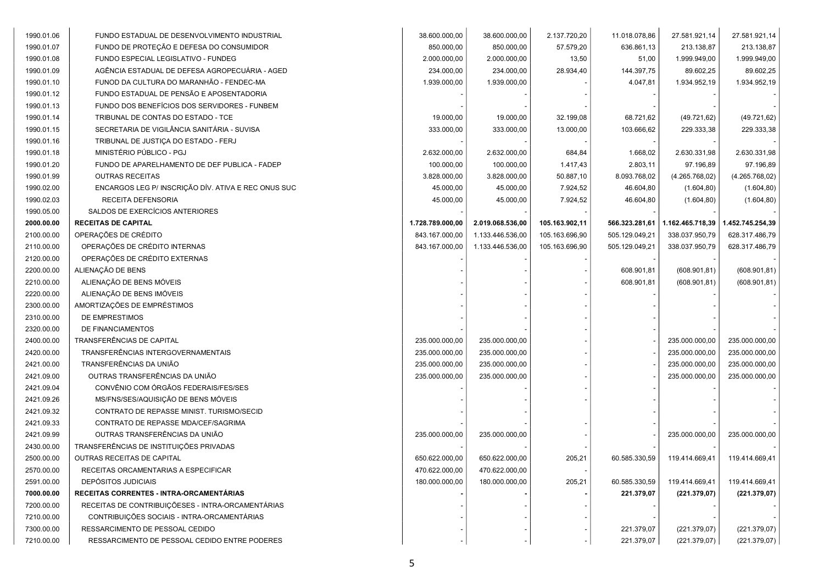| 1990.01.06 | FUNDO ESTADUAL DE DESENVOLVIMENTO INDUSTRIAL        | 38.600.000,00    | 38.600.000,00    | 2.137.720,20   | 11.018.078,86  | 27.581.921,14    | 27.581.921,14    |
|------------|-----------------------------------------------------|------------------|------------------|----------------|----------------|------------------|------------------|
| 1990.01.07 | FUNDO DE PROTEÇÃO E DEFESA DO CONSUMIDOR            | 850.000,00       | 850.000,00       | 57.579,20      | 636.861,13     | 213.138,87       | 213.138,87       |
| 1990.01.08 | FUNDO ESPECIAL LEGISLATIVO - FUNDEG                 | 2.000.000,00     | 2.000.000,00     | 13,50          | 51,00          | 1.999.949,00     | 1.999.949,00     |
| 1990.01.09 | AGÊNCIA ESTADUAL DE DEFESA AGROPECUARIA - AGED      | 234.000,00       | 234.000,00       | 28.934,40      | 144.397,75     | 89.602,25        | 89.602,25        |
| 1990.01.10 | FUNOD DA CULTURA DO MARANHÃO - FENDEC-MA            | 1.939.000,00     | 1.939.000,00     |                | 4.047,81       | 1.934.952,19     | 1.934.952,19     |
| 1990.01.12 | FUNDO ESTADUAL DE PENSÃO E APOSENTADORIA            |                  |                  |                |                |                  |                  |
| 1990.01.13 | FUNDO DOS BENEFÍCIOS DOS SERVIDORES - FUNBEM        |                  |                  |                |                |                  |                  |
| 1990.01.14 | TRIBUNAL DE CONTAS DO ESTADO - TCE                  | 19.000,00        | 19.000,00        | 32.199,08      | 68.721,62      | (49.721, 62)     | (49.721, 62)     |
| 1990.01.15 | SECRETARIA DE VIGILÂNCIA SANITÁRIA - SUVISA         | 333.000,00       | 333.000,00       | 13.000,00      | 103.666,62     | 229.333,38       | 229.333,38       |
| 1990.01.16 | TRIBUNAL DE JUSTIÇA DO ESTADO - FERJ                |                  |                  |                |                |                  |                  |
| 1990.01.18 | MINISTÉRIO PÚBLICO - PGJ                            | 2.632.000,00     | 2.632.000,00     | 684,84         | 1.668,02       | 2.630.331,98     | 2.630.331,98     |
| 1990.01.20 | FUNDO DE APARELHAMENTO DE DEF PUBLICA - FADEP       | 100.000,00       | 100.000,00       | 1.417,43       | 2.803,11       | 97.196,89        | 97.196,89        |
| 1990.01.99 | <b>OUTRAS RECEITAS</b>                              | 3.828.000,00     | 3.828.000,00     | 50.887,10      | 8.093.768,02   | (4.265.768,02)   | (4.265.768,02)   |
| 1990.02.00 | ENCARGOS LEG P/ INSCRIÇÃO DÍV. ATIVA E REC ONUS SUC | 45.000,00        | 45.000,00        | 7.924,52       | 46.604,80      | (1.604, 80)      | (1.604, 80)      |
| 1990.02.03 | RECEITA DEFENSORIA                                  | 45.000,00        | 45.000,00        | 7.924,52       | 46.604,80      | (1.604, 80)      | (1.604, 80)      |
| 1990.05.00 | SALDOS DE EXERCÍCIOS ANTERIORES                     |                  |                  |                |                |                  |                  |
| 2000.00.00 | <b>RECEITAS DE CAPITAL</b>                          | 1.728.789.000,00 | 2.019.068.536,00 | 105.163.902,11 | 566.323.281,61 | 1.162.465.718,39 | 1.452.745.254,39 |
| 2100.00.00 | OPERAÇÕES DE CRÉDITO                                | 843.167.000,00   | 1.133.446.536,00 | 105.163.696,90 | 505.129.049,21 | 338.037.950,79   | 628.317.486,79   |
| 2110.00.00 | OPERAÇÕES DE CRÉDITO INTERNAS                       | 843.167.000,00   | 1.133.446.536,00 | 105.163.696,90 | 505.129.049,21 | 338.037.950,79   | 628.317.486,79   |
| 2120.00.00 | OPERAÇÕES DE CRÉDITO EXTERNAS                       |                  |                  |                |                |                  |                  |
| 2200.00.00 | ALIENAÇÃO DE BENS                                   |                  |                  |                | 608.901,81     | (608.901, 81)    | (608.901, 81)    |
| 2210.00.00 | ALIENAÇÃO DE BENS MÓVEIS                            |                  |                  |                | 608.901,81     | (608.901, 81)    | (608.901, 81)    |
| 2220.00.00 | ALIENAÇÃO DE BENS IMÓVEIS                           |                  |                  |                |                |                  |                  |
| 2300.00.00 | AMORTIZAÇÕES DE EMPRÉSTIMOS                         |                  |                  |                |                |                  |                  |
| 2310.00.00 | DE EMPRESTIMOS                                      |                  |                  |                |                |                  |                  |
| 2320.00.00 | DE FINANCIAMENTOS                                   |                  |                  |                |                |                  |                  |
| 2400.00.00 | TRANSFERÊNCIAS DE CAPITAL                           | 235.000.000,00   | 235.000.000,00   |                |                | 235.000.000,00   | 235.000.000,00   |
| 2420.00.00 | TRANSFERÊNCIAS INTERGOVERNAMENTAIS                  | 235.000.000,00   | 235.000.000,00   |                |                | 235.000.000,00   | 235.000.000,00   |
| 2421.00.00 | TRANSFERÊNCIAS DA UNIÃO                             | 235.000.000,00   | 235.000.000,00   |                |                | 235.000.000,00   | 235.000.000,00   |
| 2421.09.00 | OUTRAS TRANSFERÊNCIAS DA UNIÃO                      | 235.000.000,00   | 235.000.000,00   |                |                | 235.000.000,00   | 235.000.000,00   |
| 2421.09.04 | CONVÊNIO COM ÓRGÃOS FEDERAIS/FES/SES                |                  |                  |                |                |                  |                  |
| 2421.09.26 | MS/FNS/SES/AQUISIÇÃO DE BENS MÓVEIS                 |                  |                  |                |                |                  |                  |
| 2421.09.32 | CONTRATO DE REPASSE MINIST. TURISMO/SECID           |                  |                  |                |                |                  |                  |
| 2421.09.33 | CONTRATO DE REPASSE MDA/CEF/SAGRIMA                 |                  |                  |                |                |                  |                  |
| 2421.09.99 | OUTRAS TRANSFERÊNCIAS DA UNIÃO                      | 235.000.000,00   | 235.000.000,00   |                |                | 235.000.000,00   | 235.000.000,00   |
| 2430.00.00 | TRANSFERÊNCIAS DE INSTITUIÇÕES PRIVADAS             |                  |                  |                |                |                  |                  |
| 2500.00.00 | OUTRAS RECEITAS DE CAPITAL                          | 650.622.000,00   | 650.622.000,00   | 205,21         | 60.585.330,59  | 119.414.669,41   | 119.414.669,41   |
| 2570.00.00 | RECEITAS ORCAMENTARIAS A ESPECIFICAR                | 470.622.000,00   | 470.622.000,00   |                |                |                  |                  |
| 2591.00.00 | <b>DEPÓSITOS JUDICIAIS</b>                          | 180.000.000.00   | 180.000.000,00   | 205,21         | 60.585.330,59  | 119.414.669,41   | 119.414.669,41   |
| 7000.00.00 | RECEITAS CORRENTES - INTRA-ORCAMENTÁRIAS            |                  |                  |                | 221.379,07     | (221.379.07)     | (221.379,07)     |
| 7200.00.00 | RECEITAS DE CONTRIBUIÇÕESES - INTRA-ORCAMENTÁRIAS   |                  |                  |                |                |                  |                  |
| 7210.00.00 | CONTRIBUIÇÕES SOCIAIS - INTRA-ORCAMENTÁRIAS         |                  |                  |                |                |                  |                  |
| 7300.00.00 | RESSARCIMENTO DE PESSOAL CEDIDO                     |                  |                  |                | 221.379,07     | (221.379,07)     | (221.379,07)     |
| 7210.00.00 | RESSARCIMENTO DE PESSOAL CEDIDO ENTRE PODERES       |                  |                  |                | 221.379,07     | (221.379,07)     | (221.379,07)     |